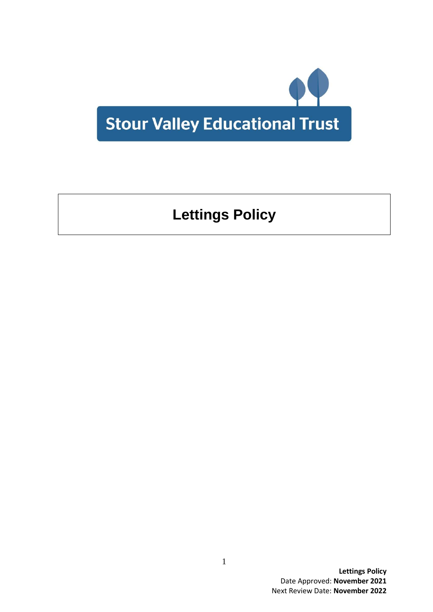

# **Lettings Policy**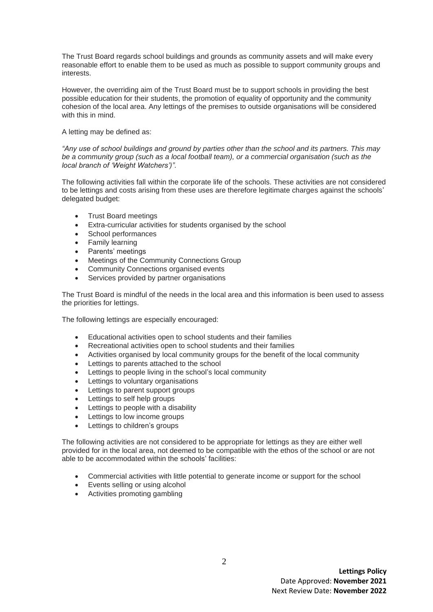The Trust Board regards school buildings and grounds as community assets and will make every reasonable effort to enable them to be used as much as possible to support community groups and interests.

However, the overriding aim of the Trust Board must be to support schools in providing the best possible education for their students, the promotion of equality of opportunity and the community cohesion of the local area. Any lettings of the premises to outside organisations will be considered with this in mind.

### A letting may be defined as:

*"Any use of school buildings and ground by parties other than the school and its partners. This may be a community group (such as a local football team), or a commercial organisation (such as the local branch of 'Weight Watchers')".*

The following activities fall within the corporate life of the schools. These activities are not considered to be lettings and costs arising from these uses are therefore legitimate charges against the schools' delegated budget:

- Trust Board meetings
- Extra-curricular activities for students organised by the school
- School performances
- Family learning
- Parents' meetings
- Meetings of the Community Connections Group
- Community Connections organised events
- Services provided by partner organisations

The Trust Board is mindful of the needs in the local area and this information is been used to assess the priorities for lettings.

The following lettings are especially encouraged:

- Educational activities open to school students and their families
- Recreational activities open to school students and their families
- Activities organised by local community groups for the benefit of the local community
- Lettings to parents attached to the school
- Lettings to people living in the school's local community
- Lettings to voluntary organisations
- Lettings to parent support groups
- Lettings to self help groups
- Lettings to people with a disability
- Lettings to low income groups
- Lettings to children's groups

The following activities are not considered to be appropriate for lettings as they are either well provided for in the local area, not deemed to be compatible with the ethos of the school or are not able to be accommodated within the schools' facilities:

- Commercial activities with little potential to generate income or support for the school
- Events selling or using alcohol
- Activities promoting gambling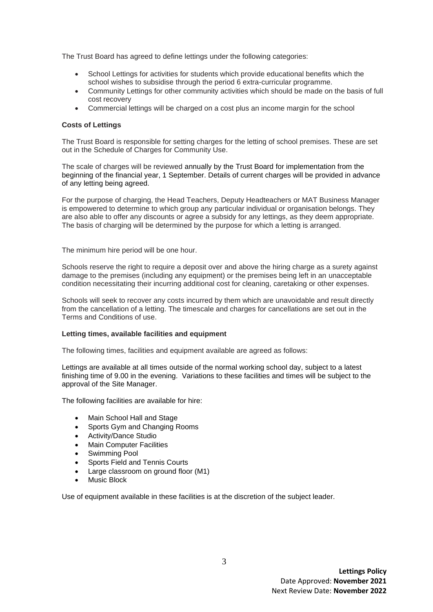The Trust Board has agreed to define lettings under the following categories:

- School Lettings for activities for students which provide educational benefits which the school wishes to subsidise through the period 6 extra-curricular programme.
- Community Lettings for other community activities which should be made on the basis of full cost recovery
- Commercial lettings will be charged on a cost plus an income margin for the school

### **Costs of Lettings**

The Trust Board is responsible for setting charges for the letting of school premises. These are set out in the Schedule of Charges for Community Use.

The scale of charges will be reviewed annually by the Trust Board for implementation from the beginning of the financial year, 1 September. Details of current charges will be provided in advance of any letting being agreed.

For the purpose of charging, the Head Teachers, Deputy Headteachers or MAT Business Manager is empowered to determine to which group any particular individual or organisation belongs. They are also able to offer any discounts or agree a subsidy for any lettings, as they deem appropriate. The basis of charging will be determined by the purpose for which a letting is arranged.

The minimum hire period will be one hour.

Schools reserve the right to require a deposit over and above the hiring charge as a surety against damage to the premises (including any equipment) or the premises being left in an unacceptable condition necessitating their incurring additional cost for cleaning, caretaking or other expenses.

Schools will seek to recover any costs incurred by them which are unavoidable and result directly from the cancellation of a letting. The timescale and charges for cancellations are set out in the Terms and Conditions of use.

#### **Letting times, available facilities and equipment**

The following times, facilities and equipment available are agreed as follows:

Lettings are available at all times outside of the normal working school day, subject to a latest finishing time of 9.00 in the evening. Variations to these facilities and times will be subject to the approval of the Site Manager.

The following facilities are available for hire:

- Main School Hall and Stage
- Sports Gym and Changing Rooms
- Activity/Dance Studio
- Main Computer Facilities
- Swimming Pool
- Sports Field and Tennis Courts
- Large classroom on ground floor (M1)
- Music Block

Use of equipment available in these facilities is at the discretion of the subject leader.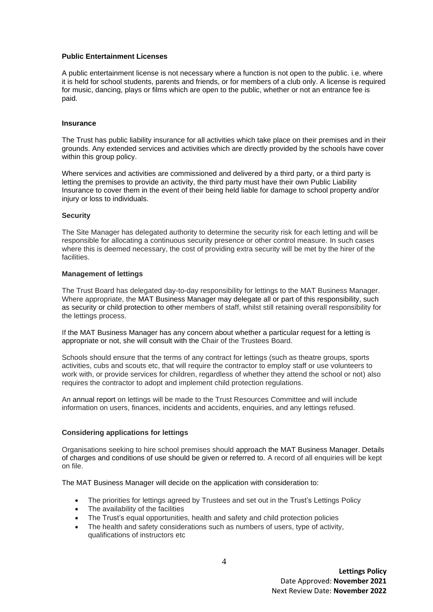#### **Public Entertainment Licenses**

A public entertainment license is not necessary where a function is not open to the public. i.e. where it is held for school students, parents and friends, or for members of a club only. A license is required for music, dancing, plays or films which are open to the public, whether or not an entrance fee is paid.

#### **Insurance**

The Trust has public liability insurance for all activities which take place on their premises and in their grounds. Any extended services and activities which are directly provided by the schools have cover within this group policy.

Where services and activities are commissioned and delivered by a third party, or a third party is letting the premises to provide an activity, the third party must have their own Public Liability Insurance to cover them in the event of their being held liable for damage to school property and/or injury or loss to individuals.

### **Security**

The Site Manager has delegated authority to determine the security risk for each letting and will be responsible for allocating a continuous security presence or other control measure. In such cases where this is deemed necessary, the cost of providing extra security will be met by the hirer of the facilities.

## **Management of lettings**

The Trust Board has delegated day-to-day responsibility for lettings to the MAT Business Manager. Where appropriate, the MAT Business Manager may delegate all or part of this responsibility, such as security or child protection to other members of staff, whilst still retaining overall responsibility for the lettings process.

If the MAT Business Manager has any concern about whether a particular request for a letting is appropriate or not, she will consult with the Chair of the Trustees Board.

Schools should ensure that the terms of any contract for lettings (such as theatre groups, sports activities, cubs and scouts etc, that will require the contractor to employ staff or use volunteers to work with, or provide services for children, regardless of whether they attend the school or not) also requires the contractor to adopt and implement child protection regulations.

An annual report on lettings will be made to the Trust Resources Committee and will include information on users, finances, incidents and accidents, enquiries, and any lettings refused.

#### **Considering applications for lettings**

Organisations seeking to hire school premises should approach the MAT Business Manager. Details of charges and conditions of use should be given or referred to. A record of all enquiries will be kept on file.

The MAT Business Manager will decide on the application with consideration to:

- The priorities for lettings agreed by Trustees and set out in the Trust's Lettings Policy
- The availability of the facilities
- The Trust's equal opportunities, health and safety and child protection policies
- The health and safety considerations such as numbers of users, type of activity, qualifications of instructors etc